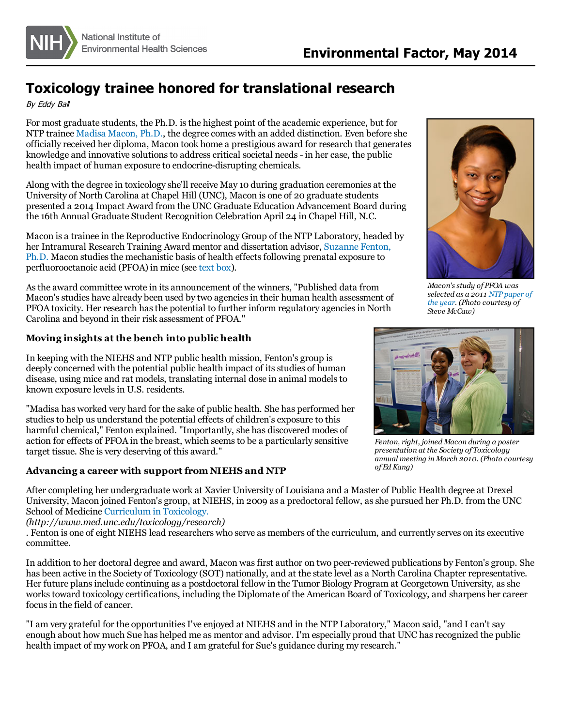

# **Toxicology trainee honored for translational research**

By Eddy Bal

For most graduate students, the Ph.D. isthe highest point of the academic experience, but for NTP trainee Madisa [Macon,](http://www.niehs.nih.gov/research/atniehs/labs/ntp/repro_endoc/staff/index.cfm) Ph.D., the degree comes with an added distinction. Even before she officially received her diploma, Macon took home a prestigious award for research that generates knowledge and innovative solutions to address critical societal needs - in her case, the public health impact of human exposure to endocrine-disrupting chemicals.

Along with the degree in toxicology she'll receive May 10 during graduation ceremonies at the University of North Carolina at Chapel Hill (UNC), Macon is one of 20 graduate students presented a 2014 Impact Award from the UNC Graduate Education Advancement Board during the 16th Annual Graduate Student Recognition Celebration April 24 in Chapel Hill, N.C.

Macon is a trainee in the Reproductive Endocrinology Group of the NTP Laboratory, headed by her Intramural Research Training Award mentor and dissertation advisor, Suzanne Fenton, Ph.D. Macon studies the mechanistic basis of health effects following prenatal exposure to perfluorooctanoic acid (PFOA) in mice (see [text](#page-1-0) box).

Asthe award committee wrote in its announcement of the winners, "Published data from Macon's studies have already been used by two agencies in their human health assessment of PFOA toxicity. Her research has the potential to further inform regulatory agencies in North Carolina and beyond in their risk assessment of PFOA."

## **Moving insights at the bench into public health**

In keeping with the NIEHS and NTP public health mission, Fenton's group is deeply concerned with the potential public health impact of its studies of human disease, using mice and rat models, translating internal dose in animal modelsto known exposure levels in U.S. residents.

"Madisa has worked very hard for the sake of public health. She has performed her studiesto help us understand the potential effects of children's exposure to this harmful chemical," Fenton explained. "Importantly, she has discovered modes of action for effects of PFOA in the breast, which seemsto be a particularly sensitive target tissue. She is very deserving of this award."

### **Advancing a career with support from NIEHS and NTP**



*Macon'sstudy of PFOA was [selected](http://www.niehs.nih.gov/news/newsletter/2012/1/papers/index.htm#w) as a 2011 NTP paper of the year. (Photo courtesy of Steve McCaw)*



*Fenton, right, joined Macon during a poster presentation at the Society of Toxicology annual meeting in March 2010. (Photo courtesy of Ed Kang)*

After completing her undergraduate work at Xavier University of Louisiana and a Master of Public Health degree at Drexel University, Macon joined Fenton's group, at NIEHS, in 2009 as a predoctoral fellow, asshe pursued her Ph.D. from the UNC School of Medicine [Curriculum](http://www.med.unc.edu/toxicology/research) in Toxicology.

*(http://www.med.unc.edu/toxicology/research)*

. Fenton is one of eight NIEHS lead researchers who serve as members of the curriculum, and currently serves on its executive committee.

In addition to her doctoral degree and award, Macon wasfirst author on two peer-reviewed publications by Fenton's group. She has been active in the Society of Toxicology (SOT) nationally, and at the state level as a North Carolina Chapter representative. Her future plansinclude continuing as a postdoctoral fellow in the Tumor Biology Program at Georgetown University, asshe works toward toxicology certifications, including the Diplomate of the American Board of Toxicology, and sharpens her career focus in the field of cancer.

"I am very grateful for the opportunities I've enjoyed at NIEHS and in the NTP Laboratory," Macon said, "and I can't say enough about how much Sue has helped me as mentor and advisor. I'm especially proud that UNC hasrecognized the public health impact of my work on PFOA, and I am grateful for Sue's guidance during my research."